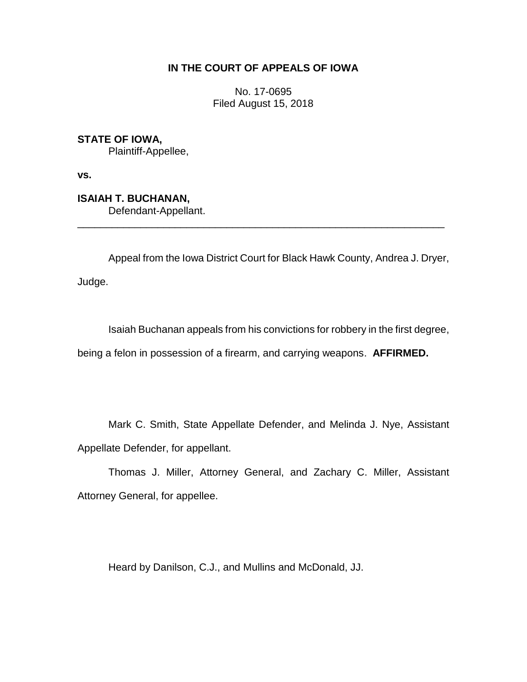# **IN THE COURT OF APPEALS OF IOWA**

No. 17-0695 Filed August 15, 2018

**STATE OF IOWA,**

Plaintiff-Appellee,

**vs.**

**ISAIAH T. BUCHANAN,** Defendant-Appellant.

Appeal from the Iowa District Court for Black Hawk County, Andrea J. Dryer,

\_\_\_\_\_\_\_\_\_\_\_\_\_\_\_\_\_\_\_\_\_\_\_\_\_\_\_\_\_\_\_\_\_\_\_\_\_\_\_\_\_\_\_\_\_\_\_\_\_\_\_\_\_\_\_\_\_\_\_\_\_\_\_\_

Judge.

Isaiah Buchanan appeals from his convictions for robbery in the first degree,

being a felon in possession of a firearm, and carrying weapons. **AFFIRMED.**

Mark C. Smith, State Appellate Defender, and Melinda J. Nye, Assistant Appellate Defender, for appellant.

Thomas J. Miller, Attorney General, and Zachary C. Miller, Assistant Attorney General, for appellee.

Heard by Danilson, C.J., and Mullins and McDonald, JJ.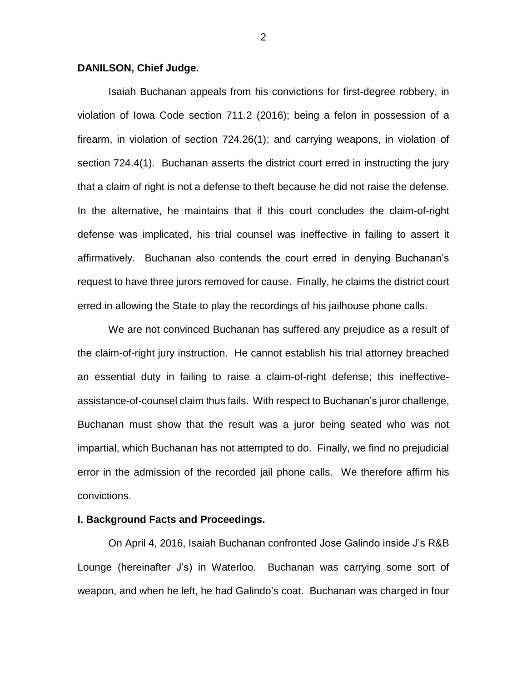## **DANILSON, Chief Judge.**

Isaiah Buchanan appeals from his convictions for first-degree robbery, in violation of Iowa Code section 711.2 (2016); being a felon in possession of a firearm, in violation of section 724.26(1); and carrying weapons, in violation of section 724.4(1). Buchanan asserts the district court erred in instructing the jury that a claim of right is not a defense to theft because he did not raise the defense. In the alternative, he maintains that if this court concludes the claim-of-right defense was implicated, his trial counsel was ineffective in failing to assert it affirmatively. Buchanan also contends the court erred in denying Buchanan's request to have three jurors removed for cause. Finally, he claims the district court erred in allowing the State to play the recordings of his jailhouse phone calls.

We are not convinced Buchanan has suffered any prejudice as a result of the claim-of-right jury instruction. He cannot establish his trial attorney breached an essential duty in failing to raise a claim-of-right defense; this ineffectiveassistance-of-counsel claim thus fails. With respect to Buchanan's juror challenge, Buchanan must show that the result was a juror being seated who was not impartial, which Buchanan has not attempted to do. Finally, we find no prejudicial error in the admission of the recorded jail phone calls. We therefore affirm his convictions.

## **I. Background Facts and Proceedings.**

On April 4, 2016, Isaiah Buchanan confronted Jose Galindo inside J's R&B Lounge (hereinafter J's) in Waterloo. Buchanan was carrying some sort of weapon, and when he left, he had Galindo's coat. Buchanan was charged in four

2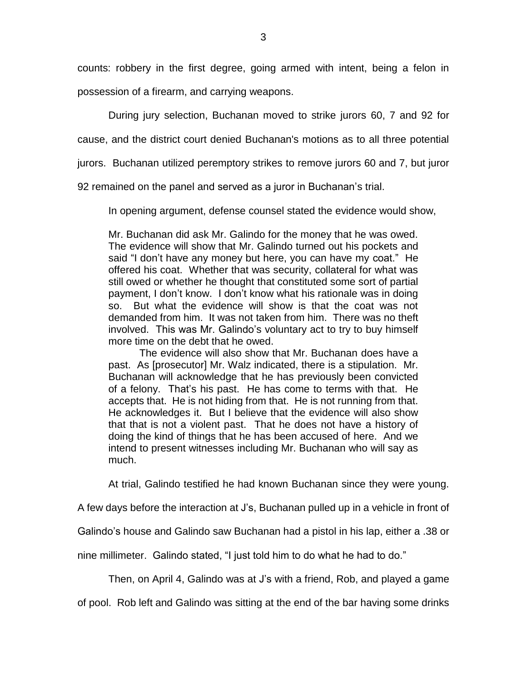counts: robbery in the first degree, going armed with intent, being a felon in possession of a firearm, and carrying weapons.

During jury selection, Buchanan moved to strike jurors 60, 7 and 92 for

cause, and the district court denied Buchanan's motions as to all three potential

jurors. Buchanan utilized peremptory strikes to remove jurors 60 and 7, but juror

92 remained on the panel and served as a juror in Buchanan's trial.

In opening argument, defense counsel stated the evidence would show,

Mr. Buchanan did ask Mr. Galindo for the money that he was owed. The evidence will show that Mr. Galindo turned out his pockets and said "I don't have any money but here, you can have my coat." He offered his coat. Whether that was security, collateral for what was still owed or whether he thought that constituted some sort of partial payment, I don't know. I don't know what his rationale was in doing so. But what the evidence will show is that the coat was not demanded from him. It was not taken from him. There was no theft involved. This was Mr. Galindo's voluntary act to try to buy himself more time on the debt that he owed.

The evidence will also show that Mr. Buchanan does have a past. As [prosecutor] Mr. Walz indicated, there is a stipulation. Mr. Buchanan will acknowledge that he has previously been convicted of a felony. That's his past. He has come to terms with that. He accepts that. He is not hiding from that. He is not running from that. He acknowledges it. But I believe that the evidence will also show that that is not a violent past. That he does not have a history of doing the kind of things that he has been accused of here. And we intend to present witnesses including Mr. Buchanan who will say as much.

At trial, Galindo testified he had known Buchanan since they were young.

A few days before the interaction at J's, Buchanan pulled up in a vehicle in front of

Galindo's house and Galindo saw Buchanan had a pistol in his lap, either a .38 or

nine millimeter. Galindo stated, "I just told him to do what he had to do."

Then, on April 4, Galindo was at J's with a friend, Rob, and played a game

of pool. Rob left and Galindo was sitting at the end of the bar having some drinks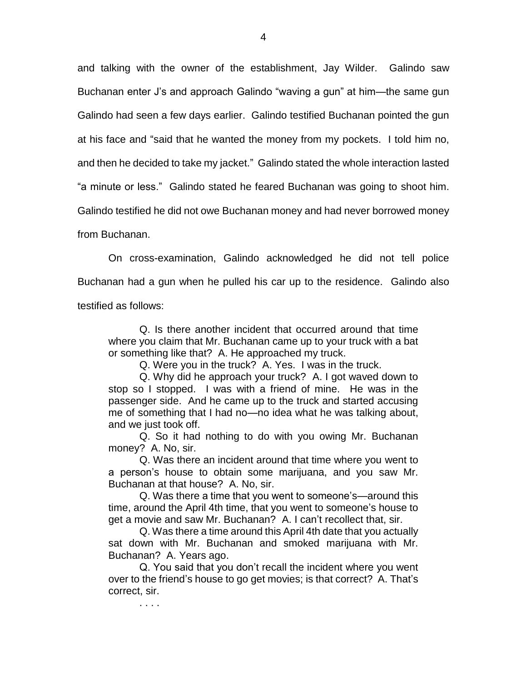and talking with the owner of the establishment, Jay Wilder. Galindo saw Buchanan enter J's and approach Galindo "waving a gun" at him—the same gun Galindo had seen a few days earlier. Galindo testified Buchanan pointed the gun at his face and "said that he wanted the money from my pockets. I told him no, and then he decided to take my jacket." Galindo stated the whole interaction lasted "a minute or less." Galindo stated he feared Buchanan was going to shoot him. Galindo testified he did not owe Buchanan money and had never borrowed money

from Buchanan.

. . . .

On cross-examination, Galindo acknowledged he did not tell police Buchanan had a gun when he pulled his car up to the residence. Galindo also testified as follows:

Q. Is there another incident that occurred around that time where you claim that Mr. Buchanan came up to your truck with a bat or something like that? A. He approached my truck.

Q. Were you in the truck? A. Yes. I was in the truck.

Q. Why did he approach your truck? A. I got waved down to stop so I stopped. I was with a friend of mine. He was in the passenger side. And he came up to the truck and started accusing me of something that I had no—no idea what he was talking about, and we just took off.

Q. So it had nothing to do with you owing Mr. Buchanan money? A. No, sir.

Q. Was there an incident around that time where you went to a person's house to obtain some marijuana, and you saw Mr. Buchanan at that house? A. No, sir.

Q. Was there a time that you went to someone's—around this time, around the April 4th time, that you went to someone's house to get a movie and saw Mr. Buchanan? A. I can't recollect that, sir.

Q. Was there a time around this April 4th date that you actually sat down with Mr. Buchanan and smoked marijuana with Mr. Buchanan? A. Years ago.

Q. You said that you don't recall the incident where you went over to the friend's house to go get movies; is that correct? A. That's correct, sir.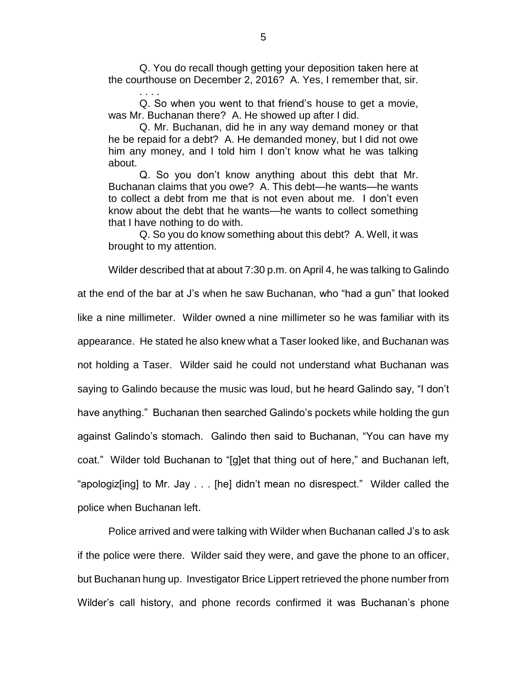Q. You do recall though getting your deposition taken here at the courthouse on December 2, 2016? A. Yes, I remember that, sir.

. . . .

Q. So when you went to that friend's house to get a movie, was Mr. Buchanan there? A. He showed up after I did.

Q. Mr. Buchanan, did he in any way demand money or that he be repaid for a debt? A. He demanded money, but I did not owe him any money, and I told him I don't know what he was talking about.

Q. So you don't know anything about this debt that Mr. Buchanan claims that you owe? A. This debt—he wants—he wants to collect a debt from me that is not even about me. I don't even know about the debt that he wants—he wants to collect something that I have nothing to do with.

Q. So you do know something about this debt? A. Well, it was brought to my attention.

Wilder described that at about 7:30 p.m. on April 4, he was talking to Galindo at the end of the bar at J's when he saw Buchanan, who "had a gun" that looked like a nine millimeter. Wilder owned a nine millimeter so he was familiar with its appearance. He stated he also knew what a Taser looked like, and Buchanan was not holding a Taser. Wilder said he could not understand what Buchanan was saying to Galindo because the music was loud, but he heard Galindo say, "I don't have anything." Buchanan then searched Galindo's pockets while holding the gun against Galindo's stomach. Galindo then said to Buchanan, "You can have my coat." Wilder told Buchanan to "[g]et that thing out of here," and Buchanan left, "apologiz[ing] to Mr. Jay . . . [he] didn't mean no disrespect." Wilder called the police when Buchanan left.

Police arrived and were talking with Wilder when Buchanan called J's to ask if the police were there. Wilder said they were, and gave the phone to an officer, but Buchanan hung up. Investigator Brice Lippert retrieved the phone number from Wilder's call history, and phone records confirmed it was Buchanan's phone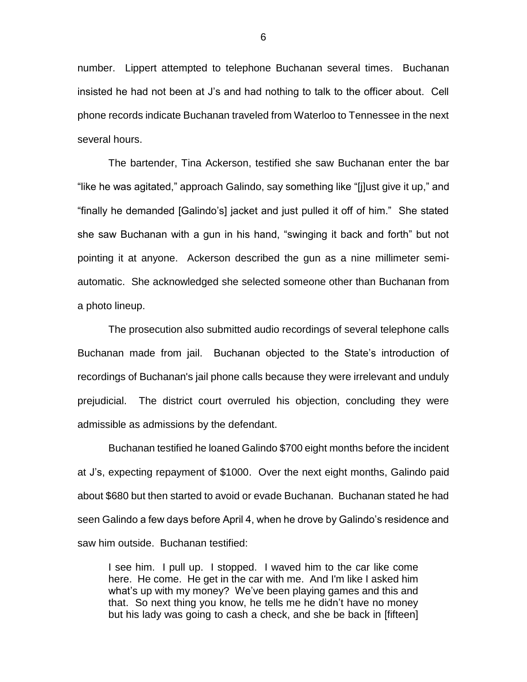number. Lippert attempted to telephone Buchanan several times. Buchanan insisted he had not been at J's and had nothing to talk to the officer about. Cell phone records indicate Buchanan traveled from Waterloo to Tennessee in the next several hours.

The bartender, Tina Ackerson, testified she saw Buchanan enter the bar "like he was agitated," approach Galindo, say something like "[j]ust give it up," and "finally he demanded [Galindo's] jacket and just pulled it off of him." She stated she saw Buchanan with a gun in his hand, "swinging it back and forth" but not pointing it at anyone. Ackerson described the gun as a nine millimeter semiautomatic. She acknowledged she selected someone other than Buchanan from a photo lineup.

The prosecution also submitted audio recordings of several telephone calls Buchanan made from jail. Buchanan objected to the State's introduction of recordings of Buchanan's jail phone calls because they were irrelevant and unduly prejudicial. The district court overruled his objection, concluding they were admissible as admissions by the defendant.

Buchanan testified he loaned Galindo \$700 eight months before the incident at J's, expecting repayment of \$1000. Over the next eight months, Galindo paid about \$680 but then started to avoid or evade Buchanan. Buchanan stated he had seen Galindo a few days before April 4, when he drove by Galindo's residence and saw him outside. Buchanan testified:

I see him. I pull up. I stopped. I waved him to the car like come here. He come. He get in the car with me. And I'm like I asked him what's up with my money? We've been playing games and this and that. So next thing you know, he tells me he didn't have no money but his lady was going to cash a check, and she be back in [fifteen]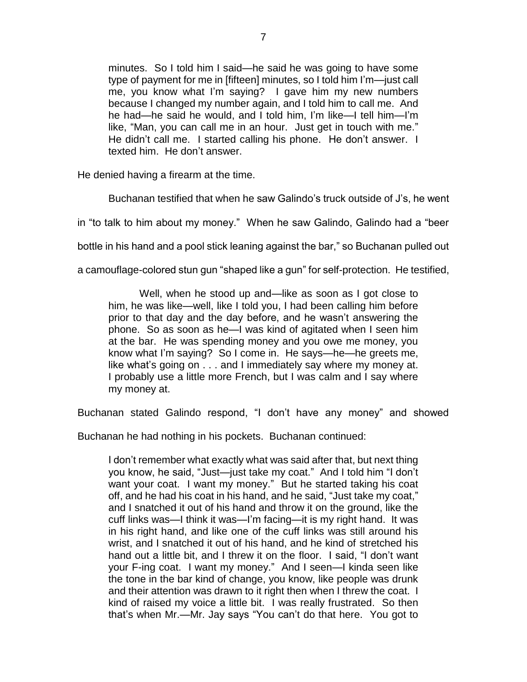minutes. So I told him I said—he said he was going to have some type of payment for me in [fifteen] minutes, so I told him I'm—just call me, you know what I'm saying? I gave him my new numbers because I changed my number again, and I told him to call me. And he had—he said he would, and I told him, I'm like—I tell him—I'm like, "Man, you can call me in an hour. Just get in touch with me." He didn't call me. I started calling his phone. He don't answer. I texted him. He don't answer.

He denied having a firearm at the time.

Buchanan testified that when he saw Galindo's truck outside of J's, he went

in "to talk to him about my money." When he saw Galindo, Galindo had a "beer

bottle in his hand and a pool stick leaning against the bar," so Buchanan pulled out

a camouflage-colored stun gun "shaped like a gun" for self-protection. He testified,

Well, when he stood up and—like as soon as I got close to him, he was like—well, like I told you, I had been calling him before prior to that day and the day before, and he wasn't answering the phone. So as soon as he—I was kind of agitated when I seen him at the bar. He was spending money and you owe me money, you know what I'm saying? So I come in. He says—he—he greets me, like what's going on . . . and I immediately say where my money at. I probably use a little more French, but I was calm and I say where my money at.

Buchanan stated Galindo respond, "I don't have any money" and showed

Buchanan he had nothing in his pockets. Buchanan continued:

I don't remember what exactly what was said after that, but next thing you know, he said, "Just—just take my coat." And I told him "I don't want your coat. I want my money." But he started taking his coat off, and he had his coat in his hand, and he said, "Just take my coat," and I snatched it out of his hand and throw it on the ground, like the cuff links was—I think it was—I'm facing—it is my right hand. It was in his right hand, and like one of the cuff links was still around his wrist, and I snatched it out of his hand, and he kind of stretched his hand out a little bit, and I threw it on the floor. I said, "I don't want your F-ing coat. I want my money." And I seen—I kinda seen like the tone in the bar kind of change, you know, like people was drunk and their attention was drawn to it right then when I threw the coat. I kind of raised my voice a little bit. I was really frustrated. So then that's when Mr.—Mr. Jay says "You can't do that here. You got to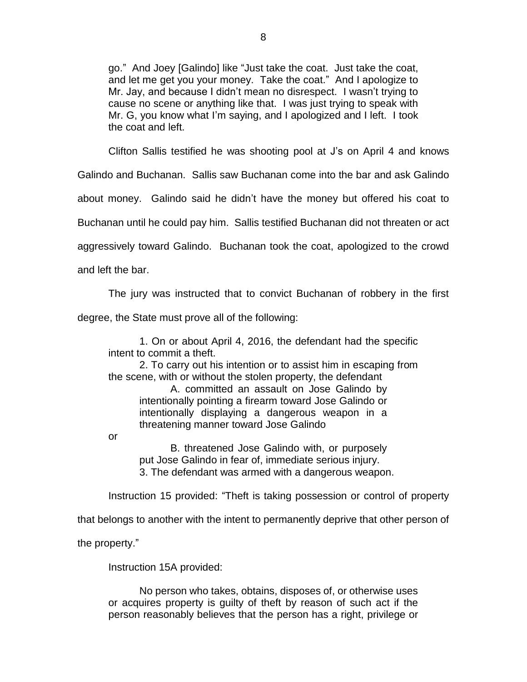go." And Joey [Galindo] like "Just take the coat. Just take the coat, and let me get you your money. Take the coat." And I apologize to Mr. Jay, and because I didn't mean no disrespect. I wasn't trying to cause no scene or anything like that. I was just trying to speak with Mr. G, you know what I'm saying, and I apologized and I left. I took the coat and left.

Clifton Sallis testified he was shooting pool at J's on April 4 and knows

Galindo and Buchanan. Sallis saw Buchanan come into the bar and ask Galindo

about money. Galindo said he didn't have the money but offered his coat to

Buchanan until he could pay him. Sallis testified Buchanan did not threaten or act

aggressively toward Galindo. Buchanan took the coat, apologized to the crowd

and left the bar.

The jury was instructed that to convict Buchanan of robbery in the first

degree, the State must prove all of the following:

1. On or about April 4, 2016, the defendant had the specific intent to commit a theft.

2. To carry out his intention or to assist him in escaping from the scene, with or without the stolen property, the defendant

A. committed an assault on Jose Galindo by intentionally pointing a firearm toward Jose Galindo or intentionally displaying a dangerous weapon in a threatening manner toward Jose Galindo

or

B. threatened Jose Galindo with, or purposely put Jose Galindo in fear of, immediate serious injury. 3. The defendant was armed with a dangerous weapon.

Instruction 15 provided: "Theft is taking possession or control of property

that belongs to another with the intent to permanently deprive that other person of

the property."

Instruction 15A provided:

No person who takes, obtains, disposes of, or otherwise uses or acquires property is guilty of theft by reason of such act if the person reasonably believes that the person has a right, privilege or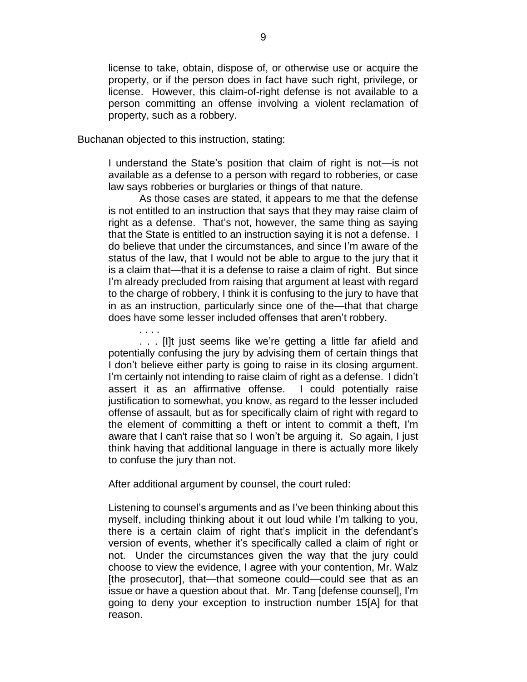license to take, obtain, dispose of, or otherwise use or acquire the property, or if the person does in fact have such right, privilege, or license. However, this claim-of-right defense is not available to a person committing an offense involving a violent reclamation of property, such as a robbery.

Buchanan objected to this instruction, stating:

I understand the State's position that claim of right is not—is not available as a defense to a person with regard to robberies, or case law says robberies or burglaries or things of that nature.

As those cases are stated, it appears to me that the defense is not entitled to an instruction that says that they may raise claim of right as a defense. That's not, however, the same thing as saying that the State is entitled to an instruction saying it is not a defense. I do believe that under the circumstances, and since I'm aware of the status of the law, that I would not be able to argue to the jury that it is a claim that—that it is a defense to raise a claim of right. But since I'm already precluded from raising that argument at least with regard to the charge of robbery, I think it is confusing to the jury to have that in as an instruction, particularly since one of the—that that charge does have some lesser included offenses that aren't robbery.

. . . . . . . [I]t just seems like we're getting a little far afield and potentially confusing the jury by advising them of certain things that I don't believe either party is going to raise in its closing argument. I'm certainly not intending to raise claim of right as a defense. I didn't assert it as an affirmative offense. I could potentially raise justification to somewhat, you know, as regard to the lesser included offense of assault, but as for specifically claim of right with regard to the element of committing a theft or intent to commit a theft, I'm aware that I can't raise that so I won't be arguing it. So again, I just think having that additional language in there is actually more likely to confuse the jury than not.

After additional argument by counsel, the court ruled:

Listening to counsel's arguments and as I've been thinking about this myself, including thinking about it out loud while I'm talking to you, there is a certain claim of right that's implicit in the defendant's version of events, whether it's specifically called a claim of right or not. Under the circumstances given the way that the jury could choose to view the evidence, I agree with your contention, Mr. Walz [the prosecutor], that—that someone could—could see that as an issue or have a question about that. Mr. Tang [defense counsel], I'm going to deny your exception to instruction number 15[A] for that reason.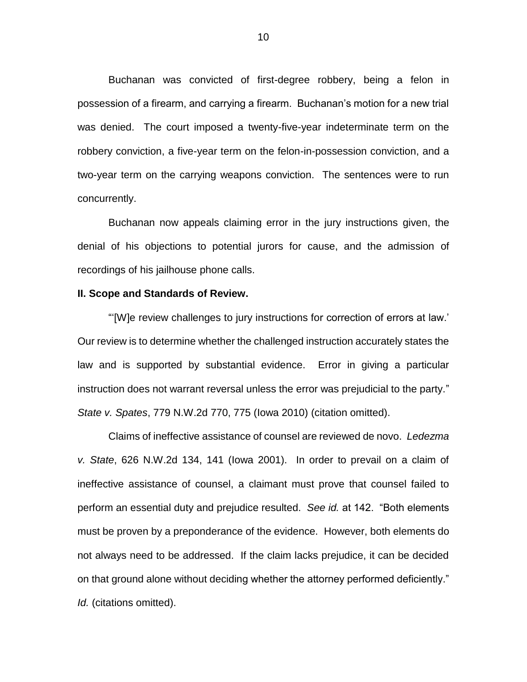Buchanan was convicted of first-degree robbery, being a felon in possession of a firearm, and carrying a firearm. Buchanan's motion for a new trial was denied. The court imposed a twenty-five-year indeterminate term on the robbery conviction, a five-year term on the felon-in-possession conviction, and a two-year term on the carrying weapons conviction. The sentences were to run concurrently.

Buchanan now appeals claiming error in the jury instructions given, the denial of his objections to potential jurors for cause, and the admission of recordings of his jailhouse phone calls.

### **II. Scope and Standards of Review.**

"'[W]e review challenges to jury instructions for correction of errors at law.' Our review is to determine whether the challenged instruction accurately states the law and is supported by substantial evidence. Error in giving a particular instruction does not warrant reversal unless the error was prejudicial to the party." *State v. Spates*, 779 N.W.2d 770, 775 (Iowa 2010) (citation omitted).

Claims of ineffective assistance of counsel are reviewed de novo. *Ledezma v. State*, 626 N.W.2d 134, 141 (Iowa 2001). In order to prevail on a claim of ineffective assistance of counsel, a claimant must prove that counsel failed to perform an essential duty and prejudice resulted. *See id.* at 142. "Both elements must be proven by a preponderance of the evidence. However, both elements do not always need to be addressed. If the claim lacks prejudice, it can be decided on that ground alone without deciding whether the attorney performed deficiently." *Id.* (citations omitted).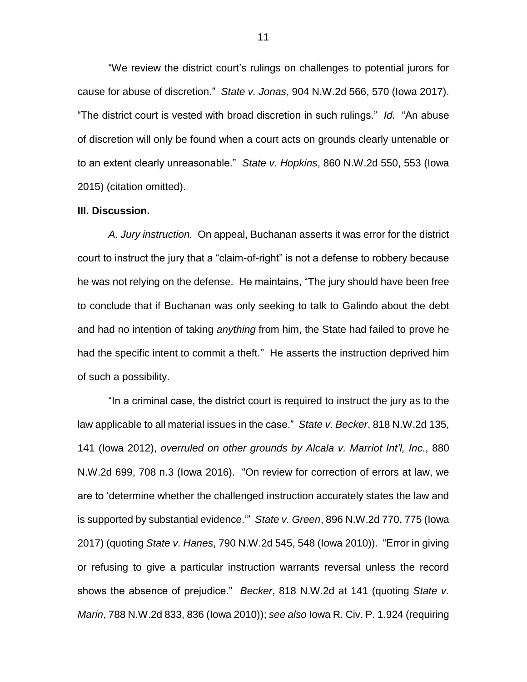"We review the district court's rulings on challenges to potential jurors for cause for abuse of discretion." *State v. Jonas*, 904 N.W.2d 566, 570 (Iowa 2017). "The district court is vested with broad discretion in such rulings." *Id.* "An abuse of discretion will only be found when a court acts on grounds clearly untenable or to an extent clearly unreasonable." *State v. Hopkins*, 860 N.W.2d 550, 553 (Iowa 2015) (citation omitted).

### **III. Discussion.**

*A. Jury instruction.* On appeal, Buchanan asserts it was error for the district court to instruct the jury that a "claim-of-right" is not a defense to robbery because he was not relying on the defense. He maintains, "The jury should have been free to conclude that if Buchanan was only seeking to talk to Galindo about the debt and had no intention of taking *anything* from him, the State had failed to prove he had the specific intent to commit a theft." He asserts the instruction deprived him of such a possibility.

"In a criminal case, the district court is required to instruct the jury as to the law applicable to all material issues in the case." *State v. Becker*, 818 N.W.2d 135, 141 (Iowa 2012), *overruled on other grounds by Alcala v. Marriot Int'l, Inc.*, 880 N.W.2d 699, 708 n.3 (Iowa 2016)."On review for correction of errors at law, we are to 'determine whether the challenged instruction accurately states the law and is supported by substantial evidence.'" *State v. Green*, 896 N.W.2d 770, 775 (Iowa 2017) (quoting *State v. Hanes*, 790 N.W.2d 545, 548 (Iowa 2010)). "Error in giving or refusing to give a particular instruction warrants reversal unless the record shows the absence of prejudice." *Becker*, 818 N.W.2d at 141 (quoting *State v. Marin*, 788 N.W.2d 833, 836 (Iowa 2010)); *see also* Iowa R. Civ. P. 1.924 (requiring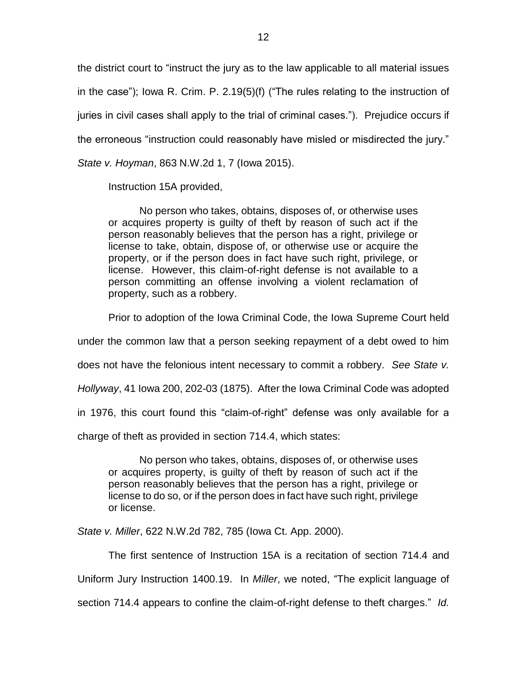the district court to "instruct the jury as to the law applicable to all material issues in the case"); Iowa R. Crim. P. 2.19(5)(f) ("The rules relating to the instruction of juries in civil cases shall apply to the trial of criminal cases."). Prejudice occurs if the erroneous "instruction could reasonably have misled or misdirected the jury." *State v. Hoyman*, 863 N.W.2d 1, 7 (Iowa 2015).

Instruction 15A provided,

No person who takes, obtains, disposes of, or otherwise uses or acquires property is guilty of theft by reason of such act if the person reasonably believes that the person has a right, privilege or license to take, obtain, dispose of, or otherwise use or acquire the property, or if the person does in fact have such right, privilege, or license. However, this claim-of-right defense is not available to a person committing an offense involving a violent reclamation of property, such as a robbery.

Prior to adoption of the Iowa Criminal Code, the Iowa Supreme Court held

under the common law that a person seeking repayment of a debt owed to him

does not have the felonious intent necessary to commit a robbery. *See State v.* 

*Hollyway*, 41 Iowa 200, 202-03 (1875). After the Iowa Criminal Code was adopted

in 1976, this court found this "claim-of-right" defense was only available for a

charge of theft as provided in section 714.4, which states:

No person who takes, obtains, disposes of, or otherwise uses or acquires property, is guilty of theft by reason of such act if the person reasonably believes that the person has a right, privilege or license to do so, or if the person does in fact have such right, privilege or license.

*State v. Miller*, 622 N.W.2d 782, 785 (Iowa Ct. App. 2000).

The first sentence of Instruction 15A is a recitation of section 714.4 and

Uniform Jury Instruction 1400.19. In *Miller*, we noted, "The explicit language of

section 714.4 appears to confine the claim-of-right defense to theft charges." *Id.*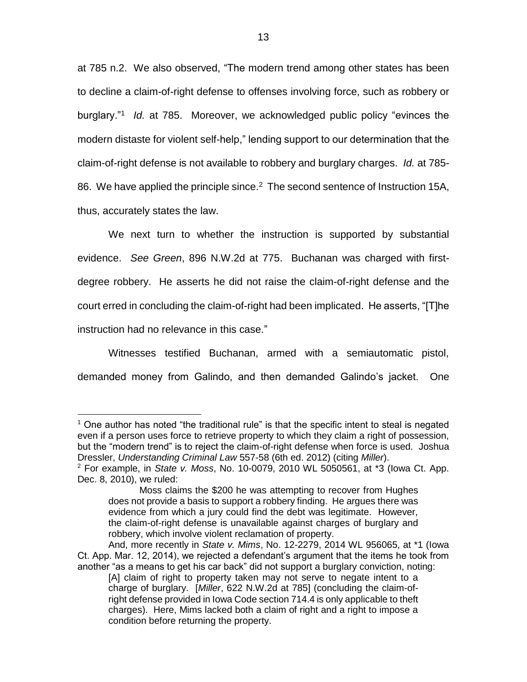at 785 n.2. We also observed, "The modern trend among other states has been to decline a claim-of-right defense to offenses involving force, such as robbery or burglary."<sup>1</sup> *Id.* at 785.Moreover, we acknowledged public policy "evinces the modern distaste for violent self-help," lending support to our determination that the claim-of-right defense is not available to robbery and burglary charges. *Id.* at 785- 86. We have applied the principle since.<sup>2</sup> The second sentence of Instruction 15A, thus, accurately states the law.

We next turn to whether the instruction is supported by substantial evidence. *See Green*, 896 N.W.2d at 775. Buchanan was charged with firstdegree robbery. He asserts he did not raise the claim-of-right defense and the court erred in concluding the claim-of-right had been implicated. He asserts, "[T]he instruction had no relevance in this case."

Witnesses testified Buchanan, armed with a semiautomatic pistol, demanded money from Galindo, and then demanded Galindo's jacket. One

 $<sup>1</sup>$  One author has noted "the traditional rule" is that the specific intent to steal is negated</sup> even if a person uses force to retrieve property to which they claim a right of possession, but the "modern trend" is to reject the claim-of-right defense when force is used. Joshua Dressler, *Understanding Criminal Law* 557-58 (6th ed. 2012) (citing *Miller*).

<sup>2</sup> For example, in *State v. Moss*, No. 10-0079, 2010 WL 5050561, at \*3 (Iowa Ct. App. Dec. 8, 2010), we ruled:

Moss claims the \$200 he was attempting to recover from Hughes does not provide a basis to support a robbery finding. He argues there was evidence from which a jury could find the debt was legitimate. However, the claim-of-right defense is unavailable against charges of burglary and robbery, which involve violent reclamation of property.

And, more recently in *State v. Mims*, No. 12-2279, 2014 WL 956065, at \*1 (Iowa Ct. App. Mar. 12, 2014), we rejected a defendant's argument that the items he took from another "as a means to get his car back" did not support a burglary conviction, noting:

<sup>[</sup>A] claim of right to property taken may not serve to negate intent to a charge of burglary. [*Miller*, 622 N.W.2d at 785] (concluding the claim-ofright defense provided in Iowa Code section 714.4 is only applicable to theft charges). Here, Mims lacked both a claim of right and a right to impose a condition before returning the property.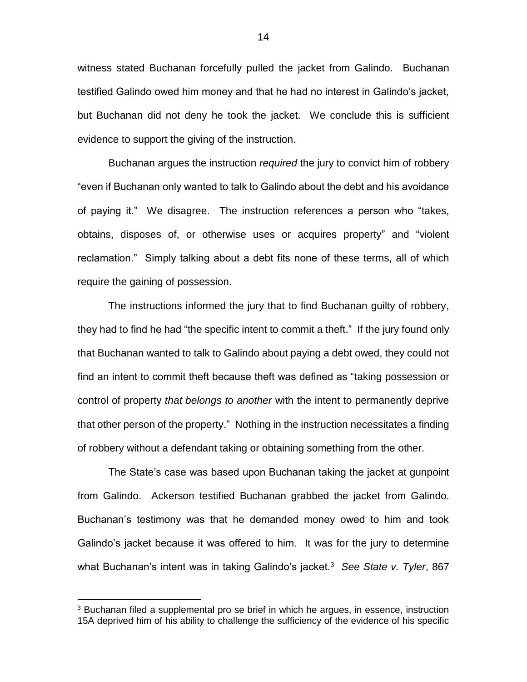witness stated Buchanan forcefully pulled the jacket from Galindo. Buchanan testified Galindo owed him money and that he had no interest in Galindo's jacket, but Buchanan did not deny he took the jacket. We conclude this is sufficient evidence to support the giving of the instruction.

Buchanan argues the instruction *required* the jury to convict him of robbery "even if Buchanan only wanted to talk to Galindo about the debt and his avoidance of paying it." We disagree. The instruction references a person who "takes, obtains, disposes of, or otherwise uses or acquires property" and "violent reclamation." Simply talking about a debt fits none of these terms, all of which require the gaining of possession.

The instructions informed the jury that to find Buchanan guilty of robbery, they had to find he had "the specific intent to commit a theft." If the jury found only that Buchanan wanted to talk to Galindo about paying a debt owed, they could not find an intent to commit theft because theft was defined as "taking possession or control of property *that belongs to another* with the intent to permanently deprive that other person of the property." Nothing in the instruction necessitates a finding of robbery without a defendant taking or obtaining something from the other.

The State's case was based upon Buchanan taking the jacket at gunpoint from Galindo. Ackerson testified Buchanan grabbed the jacket from Galindo. Buchanan's testimony was that he demanded money owed to him and took Galindo's jacket because it was offered to him. It was for the jury to determine what Buchanan's intent was in taking Galindo's jacket.<sup>3</sup> See State v. Tyler, 867

<sup>&</sup>lt;sup>3</sup> Buchanan filed a supplemental pro se brief in which he argues, in essence, instruction 15A deprived him of his ability to challenge the sufficiency of the evidence of his specific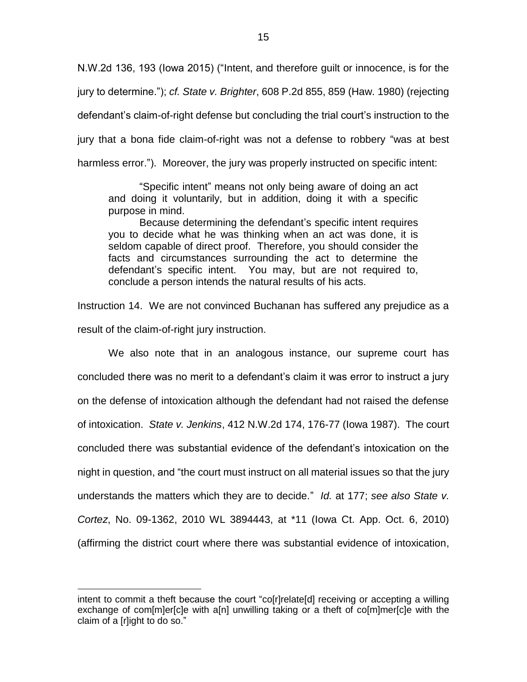N.W.2d 136, 193 (Iowa 2015) ("Intent, and therefore guilt or innocence, is for the jury to determine."); *cf. State v. Brighter*, 608 P.2d 855, 859 (Haw. 1980) (rejecting defendant's claim-of-right defense but concluding the trial court's instruction to the jury that a bona fide claim-of-right was not a defense to robbery "was at best harmless error."). Moreover, the jury was properly instructed on specific intent:

"Specific intent" means not only being aware of doing an act and doing it voluntarily, but in addition, doing it with a specific purpose in mind.

Because determining the defendant's specific intent requires you to decide what he was thinking when an act was done, it is seldom capable of direct proof. Therefore, you should consider the facts and circumstances surrounding the act to determine the defendant's specific intent. You may, but are not required to, conclude a person intends the natural results of his acts.

Instruction 14. We are not convinced Buchanan has suffered any prejudice as a result of the claim-of-right jury instruction.

We also note that in an analogous instance, our supreme court has concluded there was no merit to a defendant's claim it was error to instruct a jury on the defense of intoxication although the defendant had not raised the defense of intoxication. *State v. Jenkins*, 412 N.W.2d 174, 176-77 (Iowa 1987). The court concluded there was substantial evidence of the defendant's intoxication on the night in question, and "the court must instruct on all material issues so that the jury understands the matters which they are to decide." *Id.* at 177; *see also State v. Cortez*, No. 09-1362, 2010 WL 3894443, at \*11 (Iowa Ct. App. Oct. 6, 2010) (affirming the district court where there was substantial evidence of intoxication,

intent to commit a theft because the court "co[r]relate[d] receiving or accepting a willing exchange of com[m]er[c]e with a[n] unwilling taking or a theft of co[m]mer[c]e with the claim of a [r]ight to do so."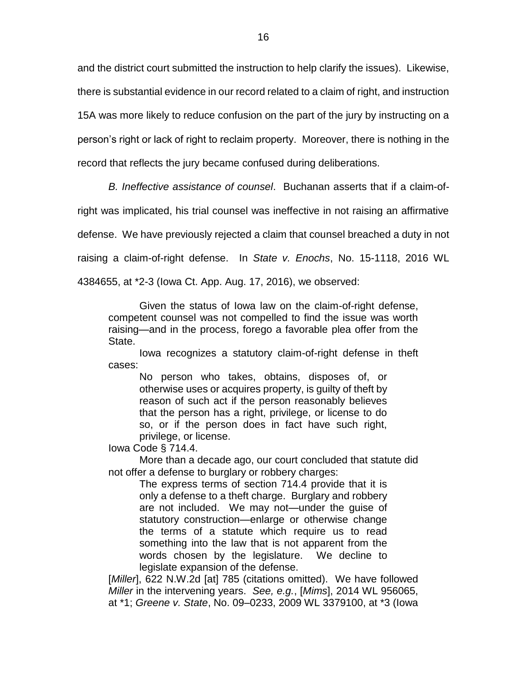and the district court submitted the instruction to help clarify the issues). Likewise, there is substantial evidence in our record related to a claim of right, and instruction 15A was more likely to reduce confusion on the part of the jury by instructing on a person's right or lack of right to reclaim property. Moreover, there is nothing in the record that reflects the jury became confused during deliberations.

*B. Ineffective assistance of counsel*. Buchanan asserts that if a claim-of-

right was implicated, his trial counsel was ineffective in not raising an affirmative

defense. We have previously rejected a claim that counsel breached a duty in not

raising a claim-of-right defense. In *State v. Enochs*, No. 15-1118, 2016 WL

4384655, at \*2-3 (Iowa Ct. App. Aug. 17, 2016), we observed:

Given the status of Iowa law on the claim-of-right defense, competent counsel was not compelled to find the issue was worth raising—and in the process, forego a favorable plea offer from the State.

Iowa recognizes a statutory claim-of-right defense in theft cases:

No person who takes, obtains, disposes of, or otherwise uses or acquires property, is guilty of theft by reason of such act if the person reasonably believes that the person has a right, privilege, or license to do so, or if the person does in fact have such right, privilege, or license.

Iowa Code § 714.4.

More than a decade ago, our court concluded that statute did not offer a defense to burglary or robbery charges:

The express terms of section 714.4 provide that it is only a defense to a theft charge. Burglary and robbery are not included. We may not—under the guise of statutory construction—enlarge or otherwise change the terms of a statute which require us to read something into the law that is not apparent from the words chosen by the legislature. We decline to legislate expansion of the defense.

[*Miller*], 622 N.W.2d [at] 785 (citations omitted). We have followed *Miller* in the intervening years. *See, e.g.*, [*Mims*], 2014 WL 956065, at \*1; *Greene v. State*, No. 09–0233, 2009 WL 3379100, at \*3 (Iowa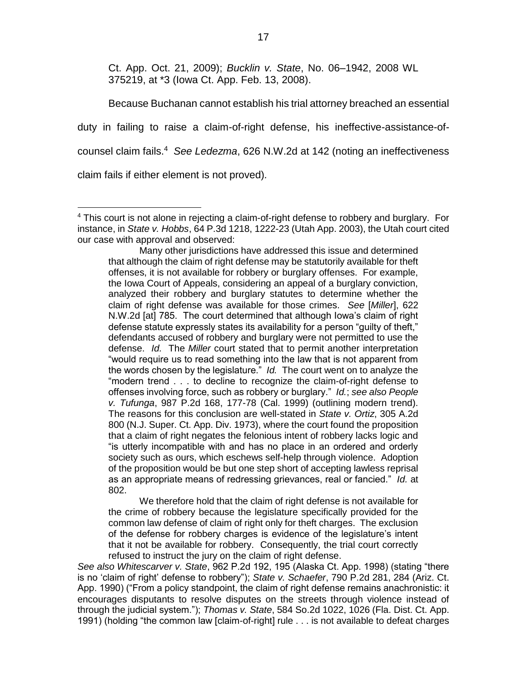Ct. App. Oct. 21, 2009); *Bucklin v. State*, No. 06–1942, 2008 WL 375219, at \*3 (Iowa Ct. App. Feb. 13, 2008).

Because Buchanan cannot establish his trial attorney breached an essential duty in failing to raise a claim-of-right defense, his ineffective-assistance-ofcounsel claim fails.<sup>4</sup> *See Ledezma*, 626 N.W.2d at 142 (noting an ineffectiveness claim fails if either element is not proved)*.*

Many other jurisdictions have addressed this issue and determined that although the claim of right defense may be statutorily available for theft offenses, it is not available for robbery or burglary offenses. For example, the Iowa Court of Appeals, considering an appeal of a burglary conviction, analyzed their robbery and burglary statutes to determine whether the claim of right defense was available for those crimes. *See* [*Miller*], 622 N.W.2d [at] 785. The court determined that although Iowa's claim of right defense statute expressly states its availability for a person "guilty of theft," defendants accused of robbery and burglary were not permitted to use the defense. *Id.* The *Miller* court stated that to permit another interpretation "would require us to read something into the law that is not apparent from the words chosen by the legislature." *Id.* The court went on to analyze the "modern trend . . . to decline to recognize the claim-of-right defense to offenses involving force, such as robbery or burglary." *Id.*; *see also People v. Tufunga*, 987 P.2d 168, 177-78 (Cal. 1999) (outlining modern trend). The reasons for this conclusion are well-stated in *State v. Ortiz*, 305 A.2d 800 (N.J. Super. Ct. App. Div. 1973), where the court found the proposition that a claim of right negates the felonious intent of robbery lacks logic and "is utterly incompatible with and has no place in an ordered and orderly society such as ours, which eschews self-help through violence. Adoption of the proposition would be but one step short of accepting lawless reprisal as an appropriate means of redressing grievances, real or fancied." *Id.* at 802.

We therefore hold that the claim of right defense is not available for the crime of robbery because the legislature specifically provided for the common law defense of claim of right only for theft charges. The exclusion of the defense for robbery charges is evidence of the legislature's intent that it not be available for robbery. Consequently, the trial court correctly refused to instruct the jury on the claim of right defense.

*See also Whitescarver v. State*, 962 P.2d 192, 195 (Alaska Ct. App. 1998) (stating "there is no 'claim of right' defense to robbery"); *State v. Schaefer*, 790 P.2d 281, 284 (Ariz. Ct. App. 1990) ("From a policy standpoint, the claim of right defense remains anachronistic: it encourages disputants to resolve disputes on the streets through violence instead of through the judicial system."); *Thomas v. State*, 584 So.2d 1022, 1026 (Fla. Dist. Ct. App. 1991) (holding "the common law [claim-of-right] rule . . . is not available to defeat charges

 $\overline{a}$  $4$  This court is not alone in rejecting a claim-of-right defense to robbery and burglary. For instance, in *State v. Hobbs*, 64 P.3d 1218, 1222-23 (Utah App. 2003), the Utah court cited our case with approval and observed: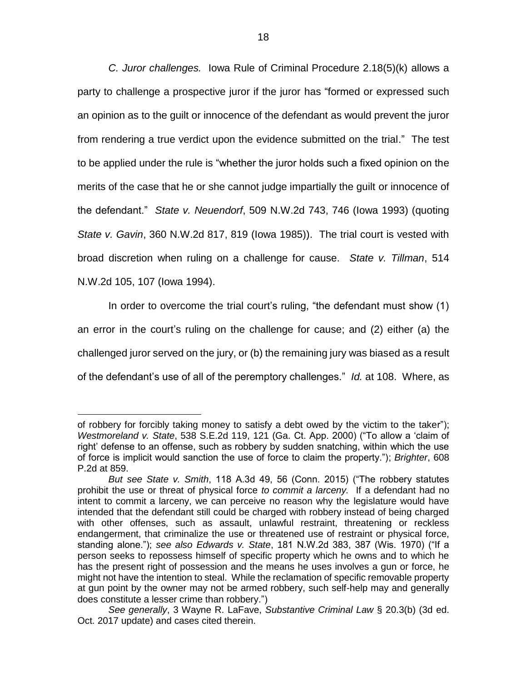*C. Juror challenges.* Iowa Rule of Criminal Procedure 2.18(5)(k) allows a party to challenge a prospective juror if the juror has "formed or expressed such an opinion as to the guilt or innocence of the defendant as would prevent the juror from rendering a true verdict upon the evidence submitted on the trial." The test to be applied under the rule is "whether the juror holds such a fixed opinion on the merits of the case that he or she cannot judge impartially the guilt or innocence of the defendant." *State v. Neuendorf*, 509 N.W.2d 743, 746 (Iowa 1993) (quoting *State v. Gavin*, 360 N.W.2d 817, 819 (Iowa 1985)). The trial court is vested with broad discretion when ruling on a challenge for cause. *State v. Tillman*, 514 N.W.2d 105, 107 (Iowa 1994).

In order to overcome the trial court's ruling, "the defendant must show (1) an error in the court's ruling on the challenge for cause; and (2) either (a) the challenged juror served on the jury, or (b) the remaining jury was biased as a result of the defendant's use of all of the peremptory challenges." *Id.* at 108. Where, as

of robbery for forcibly taking money to satisfy a debt owed by the victim to the taker"); *Westmoreland v. State*, 538 S.E.2d 119, 121 (Ga. Ct. App. 2000) ("To allow a 'claim of right' defense to an offense, such as robbery by sudden snatching, within which the use of force is implicit would sanction the use of force to claim the property."); *Brighter*, 608 P.2d at 859.

*But see State v. Smith*, 118 A.3d 49, 56 (Conn. 2015) ("The robbery statutes prohibit the use or threat of physical force *to commit a larceny.* If a defendant had no intent to commit a larceny, we can perceive no reason why the legislature would have intended that the defendant still could be charged with robbery instead of being charged with other offenses, such as assault, unlawful restraint, threatening or reckless endangerment, that criminalize the use or threatened use of restraint or physical force, standing alone."); *see also Edwards v. State*, 181 N.W.2d 383, 387 (Wis. 1970) ("If a person seeks to repossess himself of specific property which he owns and to which he has the present right of possession and the means he uses involves a gun or force, he might not have the intention to steal. While the reclamation of specific removable property at gun point by the owner may not be armed robbery, such self-help may and generally does constitute a lesser crime than robbery.")

*See generally*, 3 Wayne R. LaFave, *Substantive Criminal Law* § 20.3(b) (3d ed. Oct. 2017 update) and cases cited therein.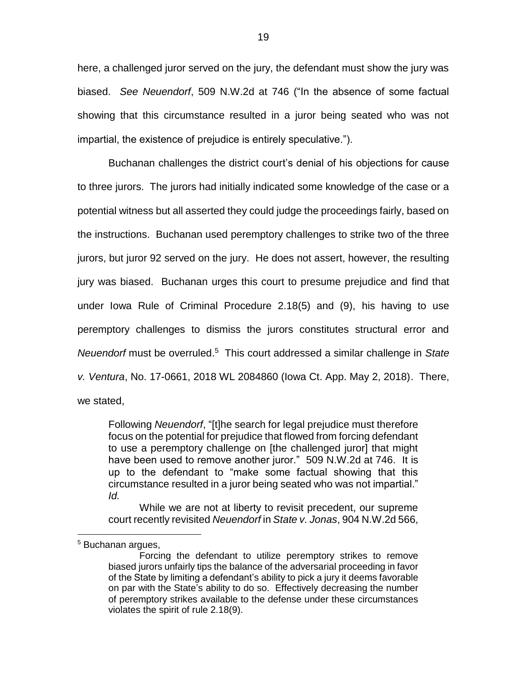here, a challenged juror served on the jury, the defendant must show the jury was biased. *See Neuendorf*, 509 N.W.2d at 746 ("In the absence of some factual showing that this circumstance resulted in a juror being seated who was not impartial, the existence of prejudice is entirely speculative.").

Buchanan challenges the district court's denial of his objections for cause to three jurors. The jurors had initially indicated some knowledge of the case or a potential witness but all asserted they could judge the proceedings fairly, based on the instructions. Buchanan used peremptory challenges to strike two of the three jurors, but juror 92 served on the jury. He does not assert, however, the resulting jury was biased. Buchanan urges this court to presume prejudice and find that under Iowa Rule of Criminal Procedure 2.18(5) and (9), his having to use peremptory challenges to dismiss the jurors constitutes structural error and *Neuendorf* must be overruled. 5 This court addressed a similar challenge in *State v. Ventura*, No. 17-0661, 2018 WL 2084860 (Iowa Ct. App. May 2, 2018). There, we stated,

Following *Neuendorf*, "[t]he search for legal prejudice must therefore focus on the potential for prejudice that flowed from forcing defendant to use a peremptory challenge on [the challenged juror] that might have been used to remove another juror." 509 N.W.2d at 746. It is up to the defendant to "make some factual showing that this circumstance resulted in a juror being seated who was not impartial." *Id.*

While we are not at liberty to revisit precedent, our supreme court recently revisited *Neuendorf* in *State v. Jonas*, 904 N.W.2d 566,

<sup>5</sup> Buchanan argues,

Forcing the defendant to utilize peremptory strikes to remove biased jurors unfairly tips the balance of the adversarial proceeding in favor of the State by limiting a defendant's ability to pick a jury it deems favorable on par with the State's ability to do so. Effectively decreasing the number of peremptory strikes available to the defense under these circumstances violates the spirit of rule 2.18(9).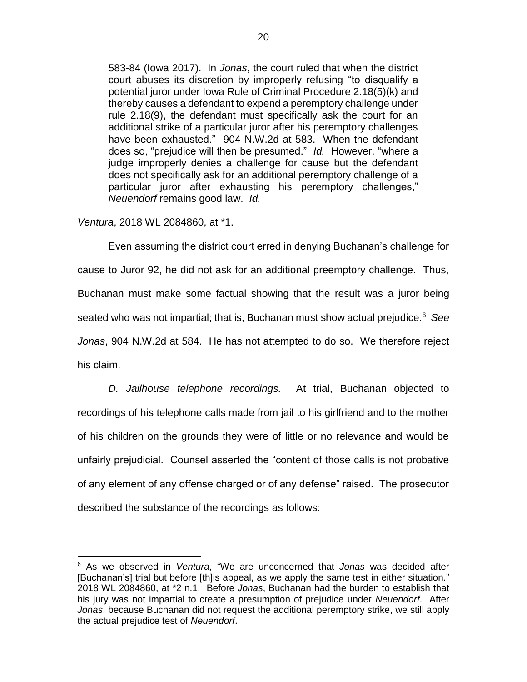583-84 (Iowa 2017). In *Jonas*, the court ruled that when the district court abuses its discretion by improperly refusing "to disqualify a potential juror under Iowa Rule of Criminal Procedure 2.18(5)(k) and thereby causes a defendant to expend a peremptory challenge under rule 2.18(9), the defendant must specifically ask the court for an additional strike of a particular juror after his peremptory challenges have been exhausted." 904 N.W.2d at 583. When the defendant does so, "prejudice will then be presumed." *Id.* However, "where a judge improperly denies a challenge for cause but the defendant does not specifically ask for an additional peremptory challenge of a particular juror after exhausting his peremptory challenges," *Neuendorf* remains good law. *Id.*

*Ventura*, 2018 WL 2084860, at \*1.

 $\overline{a}$ 

Even assuming the district court erred in denying Buchanan's challenge for cause to Juror 92, he did not ask for an additional preemptory challenge. Thus, Buchanan must make some factual showing that the result was a juror being seated who was not impartial; that is, Buchanan must show actual prejudice.<sup>6</sup> *See Jonas*, 904 N.W.2d at 584. He has not attempted to do so. We therefore reject his claim.

*D. Jailhouse telephone recordings.* At trial, Buchanan objected to recordings of his telephone calls made from jail to his girlfriend and to the mother of his children on the grounds they were of little or no relevance and would be unfairly prejudicial. Counsel asserted the "content of those calls is not probative of any element of any offense charged or of any defense" raised. The prosecutor described the substance of the recordings as follows:

<sup>6</sup> As we observed in *Ventura*, "We are unconcerned that *Jonas* was decided after [Buchanan's] trial but before [th]is appeal, as we apply the same test in either situation." 2018 WL 2084860, at \*2 n.1. Before *Jonas*, Buchanan had the burden to establish that his jury was not impartial to create a presumption of prejudice under *Neuendorf*.After *Jonas*, because Buchanan did not request the additional peremptory strike, we still apply the actual prejudice test of *Neuendorf*.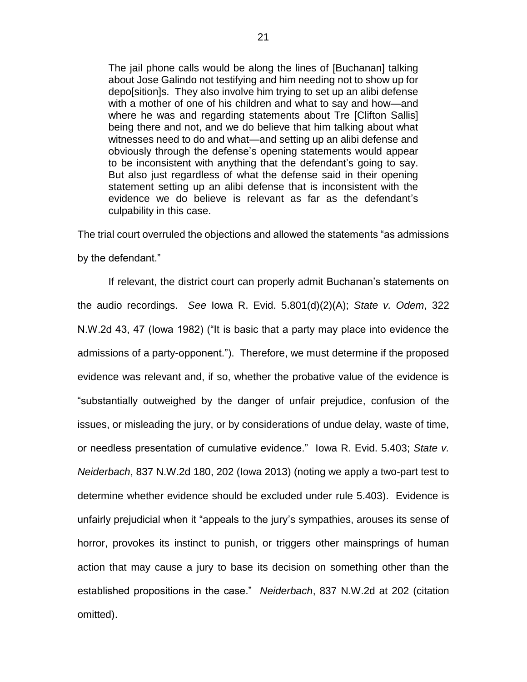The jail phone calls would be along the lines of [Buchanan] talking about Jose Galindo not testifying and him needing not to show up for depo[sition]s. They also involve him trying to set up an alibi defense with a mother of one of his children and what to say and how—and where he was and regarding statements about Tre [Clifton Sallis] being there and not, and we do believe that him talking about what witnesses need to do and what—and setting up an alibi defense and obviously through the defense's opening statements would appear to be inconsistent with anything that the defendant's going to say. But also just regardless of what the defense said in their opening statement setting up an alibi defense that is inconsistent with the evidence we do believe is relevant as far as the defendant's culpability in this case.

The trial court overruled the objections and allowed the statements "as admissions

by the defendant."

If relevant, the district court can properly admit Buchanan's statements on the audio recordings. *See* Iowa R. Evid. 5.801(d)(2)(A); *State v. Odem*, 322 N.W.2d 43, 47 (Iowa 1982) ("It is basic that a party may place into evidence the admissions of a party-opponent."). Therefore, we must determine if the proposed evidence was relevant and, if so, whether the probative value of the evidence is "substantially outweighed by the danger of unfair prejudice, confusion of the issues, or misleading the jury, or by considerations of undue delay, waste of time, or needless presentation of cumulative evidence." Iowa R. Evid. 5.403; *State v. Neiderbach*, 837 N.W.2d 180, 202 (Iowa 2013) (noting we apply a two-part test to determine whether evidence should be excluded under rule 5.403). Evidence is unfairly prejudicial when it "appeals to the jury's sympathies, arouses its sense of horror, provokes its instinct to punish, or triggers other mainsprings of human action that may cause a jury to base its decision on something other than the established propositions in the case." *Neiderbach*, 837 N.W.2d at 202 (citation omitted).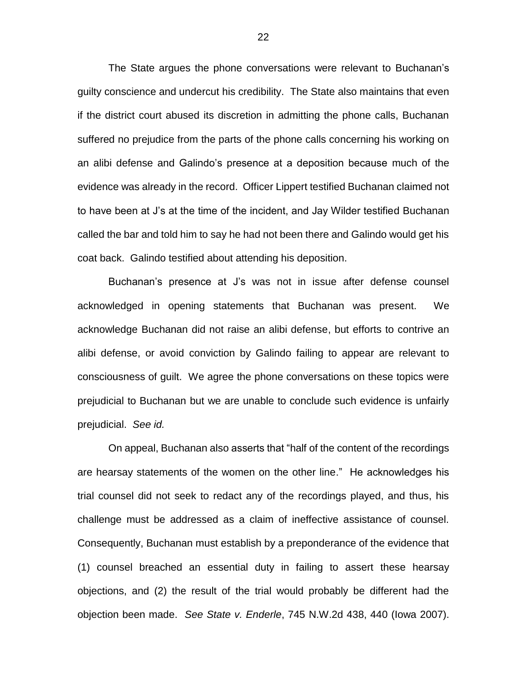The State argues the phone conversations were relevant to Buchanan's guilty conscience and undercut his credibility. The State also maintains that even if the district court abused its discretion in admitting the phone calls, Buchanan suffered no prejudice from the parts of the phone calls concerning his working on an alibi defense and Galindo's presence at a deposition because much of the evidence was already in the record. Officer Lippert testified Buchanan claimed not to have been at J's at the time of the incident, and Jay Wilder testified Buchanan called the bar and told him to say he had not been there and Galindo would get his coat back. Galindo testified about attending his deposition.

Buchanan's presence at J's was not in issue after defense counsel acknowledged in opening statements that Buchanan was present. We acknowledge Buchanan did not raise an alibi defense, but efforts to contrive an alibi defense, or avoid conviction by Galindo failing to appear are relevant to consciousness of guilt. We agree the phone conversations on these topics were prejudicial to Buchanan but we are unable to conclude such evidence is unfairly prejudicial. *See id.*

On appeal, Buchanan also asserts that "half of the content of the recordings are hearsay statements of the women on the other line." He acknowledges his trial counsel did not seek to redact any of the recordings played, and thus, his challenge must be addressed as a claim of ineffective assistance of counsel. Consequently, Buchanan must establish by a preponderance of the evidence that (1) counsel breached an essential duty in failing to assert these hearsay objections, and (2) the result of the trial would probably be different had the objection been made. *See State v. Enderle*, 745 N.W.2d 438, 440 (Iowa 2007).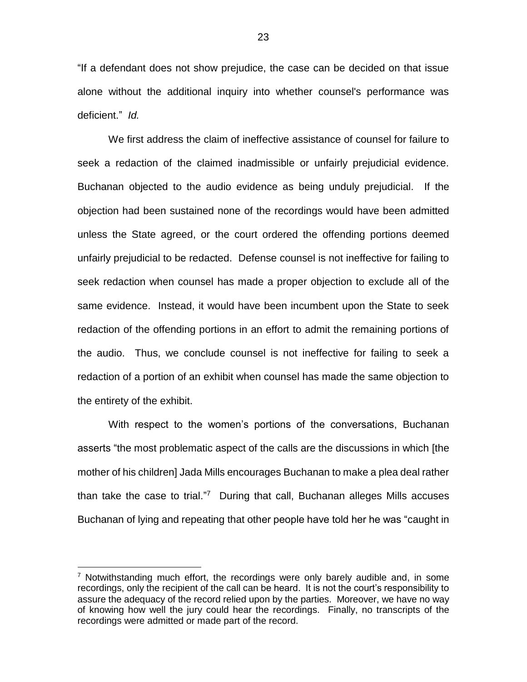"If a defendant does not show prejudice, the case can be decided on that issue alone without the additional inquiry into whether counsel's performance was deficient." *Id.*

We first address the claim of ineffective assistance of counsel for failure to seek a redaction of the claimed inadmissible or unfairly prejudicial evidence. Buchanan objected to the audio evidence as being unduly prejudicial. If the objection had been sustained none of the recordings would have been admitted unless the State agreed, or the court ordered the offending portions deemed unfairly prejudicial to be redacted. Defense counsel is not ineffective for failing to seek redaction when counsel has made a proper objection to exclude all of the same evidence. Instead, it would have been incumbent upon the State to seek redaction of the offending portions in an effort to admit the remaining portions of the audio. Thus, we conclude counsel is not ineffective for failing to seek a redaction of a portion of an exhibit when counsel has made the same objection to the entirety of the exhibit.

With respect to the women's portions of the conversations, Buchanan asserts "the most problematic aspect of the calls are the discussions in which [the mother of his children] Jada Mills encourages Buchanan to make a plea deal rather than take the case to trial."<sup>7</sup> During that call, Buchanan alleges Mills accuses Buchanan of lying and repeating that other people have told her he was "caught in

<sup>&</sup>lt;sup>7</sup> Notwithstanding much effort, the recordings were only barely audible and, in some recordings, only the recipient of the call can be heard. It is not the court's responsibility to assure the adequacy of the record relied upon by the parties. Moreover, we have no way of knowing how well the jury could hear the recordings. Finally, no transcripts of the recordings were admitted or made part of the record.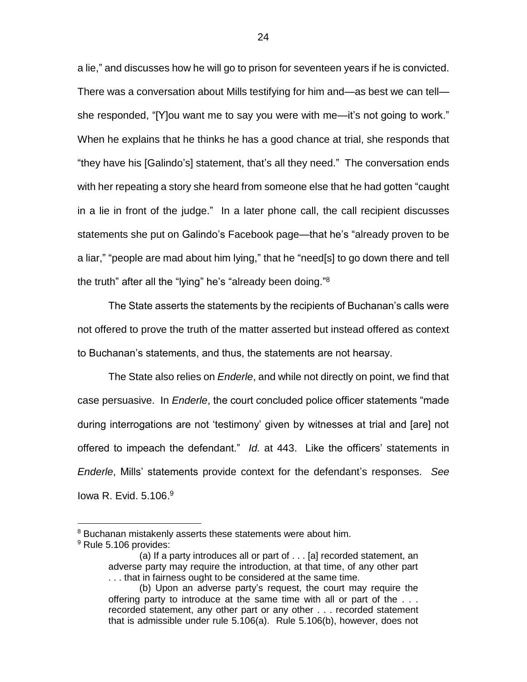a lie," and discusses how he will go to prison for seventeen years if he is convicted. There was a conversation about Mills testifying for him and—as best we can tell she responded, "[Y]ou want me to say you were with me—it's not going to work." When he explains that he thinks he has a good chance at trial, she responds that "they have his [Galindo's] statement, that's all they need." The conversation ends with her repeating a story she heard from someone else that he had gotten "caught in a lie in front of the judge." In a later phone call, the call recipient discusses statements she put on Galindo's Facebook page—that he's "already proven to be a liar," "people are mad about him lying," that he "need[s] to go down there and tell the truth" after all the "lying" he's "already been doing."<sup>8</sup>

The State asserts the statements by the recipients of Buchanan's calls were not offered to prove the truth of the matter asserted but instead offered as context to Buchanan's statements, and thus, the statements are not hearsay.

The State also relies on *Enderle*, and while not directly on point, we find that case persuasive. In *Enderle*, the court concluded police officer statements "made during interrogations are not 'testimony' given by witnesses at trial and [are] not offered to impeach the defendant." *Id.* at 443. Like the officers' statements in *Enderle*, Mills' statements provide context for the defendant's responses. *See*  lowa R. Evid. 5.106.<sup>9</sup>

<sup>&</sup>lt;sup>8</sup> Buchanan mistakenly asserts these statements were about him.

<sup>&</sup>lt;sup>9</sup> Rule 5.106 provides:

<sup>(</sup>a) If a party introduces all or part of . . . [a] recorded statement, an adverse party may require the introduction, at that time, of any other part . . . that in fairness ought to be considered at the same time.

<sup>(</sup>b) Upon an adverse party's request, the court may require the offering party to introduce at the same time with all or part of the . . . recorded statement, any other part or any other . . . recorded statement that is admissible under rule 5.106(a). Rule 5.106(b), however, does not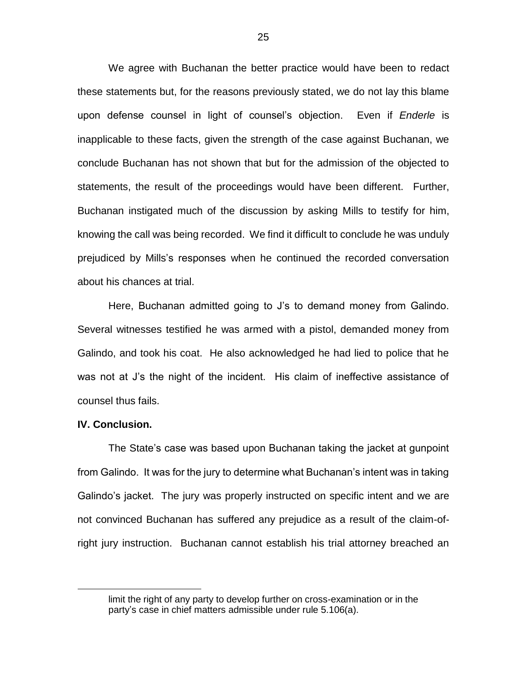We agree with Buchanan the better practice would have been to redact these statements but, for the reasons previously stated, we do not lay this blame upon defense counsel in light of counsel's objection. Even if *Enderle* is inapplicable to these facts, given the strength of the case against Buchanan, we conclude Buchanan has not shown that but for the admission of the objected to statements, the result of the proceedings would have been different. Further, Buchanan instigated much of the discussion by asking Mills to testify for him, knowing the call was being recorded. We find it difficult to conclude he was unduly prejudiced by Mills's responses when he continued the recorded conversation about his chances at trial.

Here, Buchanan admitted going to J's to demand money from Galindo. Several witnesses testified he was armed with a pistol, demanded money from Galindo, and took his coat. He also acknowledged he had lied to police that he was not at J's the night of the incident. His claim of ineffective assistance of counsel thus fails.

### **IV. Conclusion.**

 $\overline{a}$ 

The State's case was based upon Buchanan taking the jacket at gunpoint from Galindo. It was for the jury to determine what Buchanan's intent was in taking Galindo's jacket. The jury was properly instructed on specific intent and we are not convinced Buchanan has suffered any prejudice as a result of the claim-ofright jury instruction. Buchanan cannot establish his trial attorney breached an

limit the right of any party to develop further on cross-examination or in the party's case in chief matters admissible under rule 5.106(a).